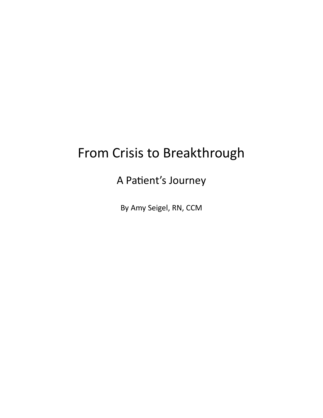## From Crisis to Breakthrough

A Patient's Journey

By Amy Seigel, RN, CCM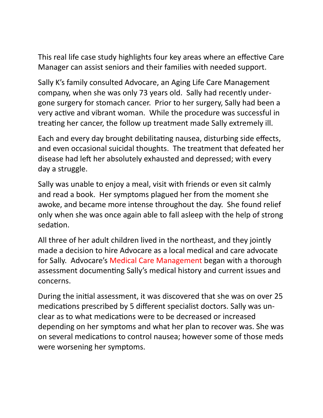This real life case study highlights four key areas where an effective Care Manager can assist seniors and their families with needed support.

Sally K's family consulted Advocare, an Aging Life Care Management company, when she was only 73 years old. Sally had recently undergone surgery for stomach cancer. Prior to her surgery, Sally had been a very active and vibrant woman. While the procedure was successful in treating her cancer, the follow up treatment made Sally extremely ill.

Each and every day brought debilitating nausea, disturbing side effects, and even occasional suicidal thoughts. The treatment that defeated her disease had left her absolutely exhausted and depressed; with every day a struggle.

Sally was unable to enjoy a meal, visit with friends or even sit calmly and read a book. Her symptoms plagued her from the moment she awoke, and became more intense throughout the day. She found relief only when she was once again able to fall asleep with the help of strong sedation.

All three of her adult children lived in the northeast, and they jointly made a decision to hire Advocare as a local medical and care advocate for Sally. Advocare's Medical Care Management began with a thorough assessment documenting Sally's medical history and current issues and concerns.

During the initial assessment, it was discovered that she was on over 25 medications prescribed by 5 different specialist doctors. Sally was unclear as to what medications were to be decreased or increased depending on her symptoms and what her plan to recover was. She was on several medications to control nausea; however some of those meds were worsening her symptoms.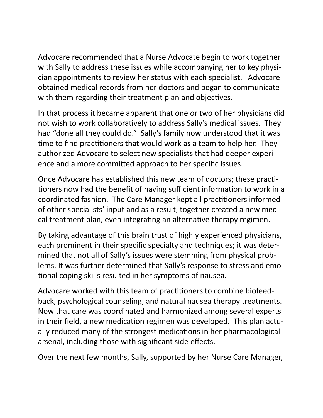Advocare recommended that a Nurse Advocate begin to work together with Sally to address these issues while accompanying her to key physician appointments to review her status with each specialist. Advocare obtained medical records from her doctors and began to communicate with them regarding their treatment plan and objectives.

In that process it became apparent that one or two of her physicians did not wish to work collaboratively to address Sally's medical issues. They had "done all they could do." Sally's family now understood that it was time to find practitioners that would work as a team to help her. They authorized Advocare to select new specialists that had deeper experience and a more committed approach to her specific issues.

Once Advocare has established this new team of doctors; these practitioners now had the benefit of having sufficient information to work in a coordinated fashion. The Care Manager kept all practitioners informed of other specialists' input and as a result, together created a new medical treatment plan, even integrating an alternative therapy regimen.

By taking advantage of this brain trust of highly experienced physicians, each prominent in their specific specialty and techniques; it was determined that not all of Sally's issues were stemming from physical problems. It was further determined that Sally's response to stress and emotional coping skills resulted in her symptoms of nausea.

Advocare worked with this team of practitioners to combine biofeedback, psychological counseling, and natural nausea therapy treatments. Now that care was coordinated and harmonized among several experts in their field, a new medication regimen was developed. This plan actually reduced many of the strongest medications in her pharmacological arsenal, including those with significant side effects.

Over the next few months, Sally, supported by her Nurse Care Manager,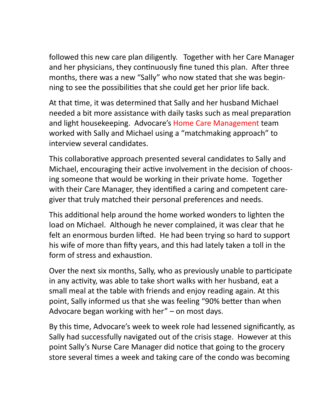followed this new care plan diligently. Together with her Care Manager and her physicians, they continuously fine tuned this plan. After three months, there was a new "Sally" who now stated that she was beginning to see the possibilities that she could get her prior life back.

At that time, it was determined that Sally and her husband Michael needed a bit more assistance with daily tasks such as meal preparation and light housekeeping. Advocare's Home Care Management team worked with Sally and Michael using a "matchmaking approach" to interview several candidates.

This collaborative approach presented several candidates to Sally and Michael, encouraging their active involvement in the decision of choosing someone that would be working in their private home. Together with their Care Manager, they identified a caring and competent caregiver that truly matched their personal preferences and needs.

This additional help around the home worked wonders to lighten the load on Michael. Although he never complained, it was clear that he felt an enormous burden lifted. He had been trying so hard to support his wife of more than fifty years, and this had lately taken a toll in the form of stress and exhaustion.

Over the next six months, Sally, who as previously unable to participate in any activity, was able to take short walks with her husband, eat a small meal at the table with friends and enjoy reading again. At this point, Sally informed us that she was feeling "90% better than when Advocare began working with her" – on most days.

By this time, Advocare's week to week role had lessened significantly, as Sally had successfully navigated out of the crisis stage. However at this point Sally's Nurse Care Manager did notice that going to the grocery store several times a week and taking care of the condo was becoming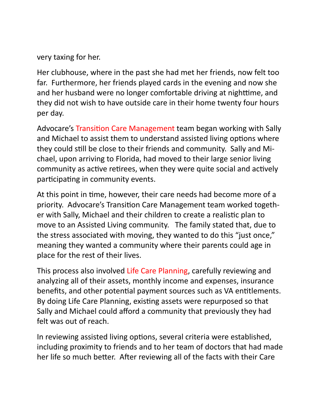very taxing for her.

Her clubhouse, where in the past she had met her friends, now felt too far. Furthermore, her friends played cards in the evening and now she and her husband were no longer comfortable driving at nighttime, and they did not wish to have outside care in their home twenty four hours per day.

Advocare's Transition Care Management team began working with Sally and Michael to assist them to understand assisted living options where they could still be close to their friends and community. Sally and Michael, upon arriving to Florida, had moved to their large senior living community as active retirees, when they were quite social and actively participating in community events.

At this point in time, however, their care needs had become more of a priority. Advocare's Transition Care Management team worked together with Sally, Michael and their children to create a realistic plan to move to an Assisted Living community. The family stated that, due to the stress associated with moving, they wanted to do this "just once," meaning they wanted a community where their parents could age in place for the rest of their lives.

This process also involved Life Care Planning, carefully reviewing and analyzing all of their assets, monthly income and expenses, insurance benefits, and other potential payment sources such as VA entitlements. By doing Life Care Planning, existing assets were repurposed so that Sally and Michael could afford a community that previously they had felt was out of reach.

In reviewing assisted living options, several criteria were established, including proximity to friends and to her team of doctors that had made her life so much better. After reviewing all of the facts with their Care